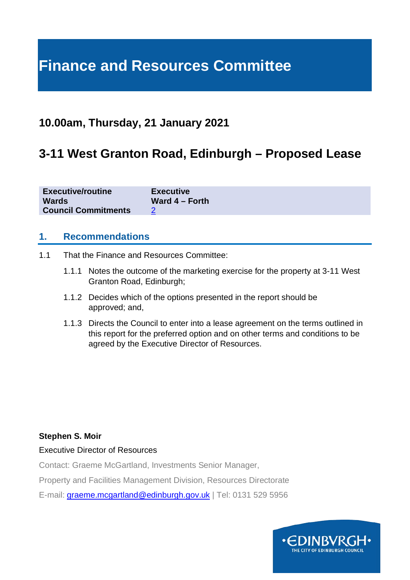# **Finance and Resources Committee**

# **10.00am, Thursday, 21 January 2021**

# **3-11 West Granton Road, Edinburgh – Proposed Lease**

| <b>Executive/routine</b>   | <b>Executive</b> |
|----------------------------|------------------|
| <b>Wards</b>               | Ward $4$ – Forth |
| <b>Council Commitments</b> |                  |

#### **1. Recommendations**

- 1.1 That the Finance and Resources Committee:
	- 1.1.1 Notes the outcome of the marketing exercise for the property at 3-11 West Granton Road, Edinburgh;
	- 1.1.2 Decides which of the options presented in the report should be approved; and,
	- 1.1.3 Directs the Council to enter into a lease agreement on the terms outlined in this report for the preferred option and on other terms and conditions to be agreed by the Executive Director of Resources.

#### **Stephen S. Moir**

Executive Director of Resources

Contact: Graeme McGartland, Investments Senior Manager,

Property and Facilities Management Division, Resources Directorate

E-mail: [graeme.mcgartland@edinburgh.gov.uk](mailto:graeme.mcgartland@edinburgh.gov.uk) | Tel: 0131 529 5956

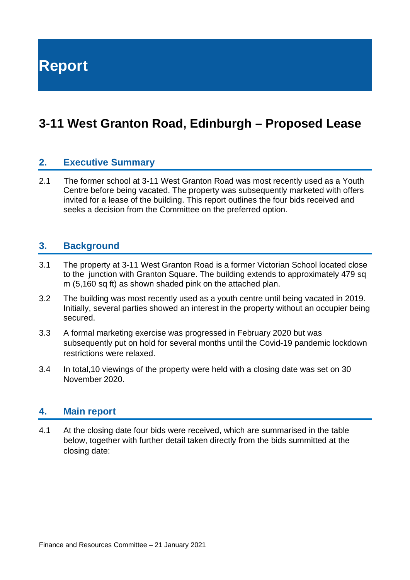**Report**

# **3-11 West Granton Road, Edinburgh – Proposed Lease**

### **2. Executive Summary**

2.1 The former school at 3-11 West Granton Road was most recently used as a Youth Centre before being vacated. The property was subsequently marketed with offers invited for a lease of the building. This report outlines the four bids received and seeks a decision from the Committee on the preferred option.

#### **3. Background**

- 3.1 The property at 3-11 West Granton Road is a former Victorian School located close to the junction with Granton Square. The building extends to approximately 479 sq m (5,160 sq ft) as shown shaded pink on the attached plan.
- 3.2 The building was most recently used as a youth centre until being vacated in 2019. Initially, several parties showed an interest in the property without an occupier being secured.
- 3.3 A formal marketing exercise was progressed in February 2020 but was subsequently put on hold for several months until the Covid-19 pandemic lockdown restrictions were relaxed.
- 3.4 In total,10 viewings of the property were held with a closing date was set on 30 November 2020.

#### **4. Main report**

4.1 At the closing date four bids were received, which are summarised in the table below, together with further detail taken directly from the bids summitted at the closing date: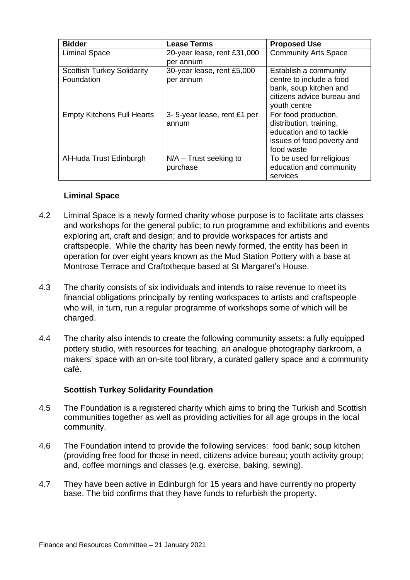| <b>Bidder</b>                     | <b>Lease Terms</b>          | <b>Proposed Use</b>         |
|-----------------------------------|-----------------------------|-----------------------------|
| <b>Liminal Space</b>              | 20-year lease, rent £31,000 | <b>Community Arts Space</b> |
|                                   | per annum                   |                             |
| <b>Scottish Turkey Solidarity</b> | 30-year lease, rent £5,000  | Establish a community       |
| Foundation                        | per annum                   | centre to include a food    |
|                                   |                             | bank, soup kitchen and      |
|                                   |                             | citizens advice bureau and  |
|                                   |                             | youth centre                |
| <b>Empty Kitchens Full Hearts</b> | 3-5-year lease, rent £1 per | For food production,        |
|                                   | annum                       | distribution, training,     |
|                                   |                             | education and to tackle     |
|                                   |                             | issues of food poverty and  |
|                                   |                             | food waste                  |
| Al-Huda Trust Edinburgh           | $N/A$ – Trust seeking to    | To be used for religious    |
|                                   | purchase                    | education and community     |
|                                   |                             | services                    |

#### **Liminal Space**

- 4.2 Liminal Space is a newly formed charity whose purpose is to facilitate arts classes and workshops for the general public; to run programme and exhibitions and events exploring art, craft and design; and to provide workspaces for artists and craftspeople. While the charity has been newly formed, the entity has been in operation for over eight years known as the Mud Station Pottery with a base at Montrose Terrace and Craftotheque based at St Margaret's House.
- 4.3 The charity consists of six individuals and intends to raise revenue to meet its financial obligations principally by renting workspaces to artists and craftspeople who will, in turn, run a regular programme of workshops some of which will be charged.
- 4.4 The charity also intends to create the following community assets: a fully equipped pottery studio, with resources for teaching, an analogue photography darkroom, a makers' space with an on-site tool library, a curated gallery space and a community café.

#### **Scottish Turkey Solidarity Foundation**

- 4.5 The Foundation is a registered charity which aims to bring the Turkish and Scottish communities together as well as providing activities for all age groups in the local community.
- 4.6 The Foundation intend to provide the following services: food bank; soup kitchen (providing free food for those in need, citizens advice bureau; youth activity group; and, coffee mornings and classes (e.g. exercise, baking, sewing).
- 4.7 They have been active in Edinburgh for 15 years and have currently no property base. The bid confirms that they have funds to refurbish the property.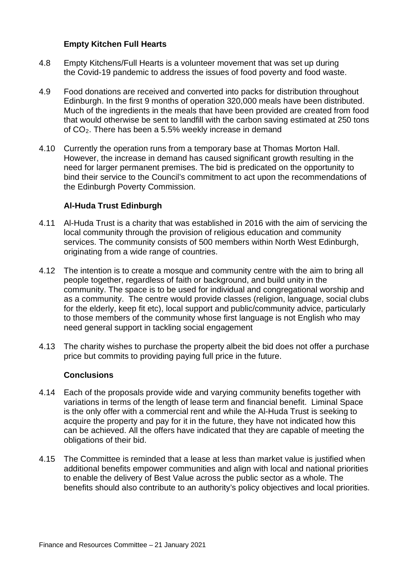#### **Empty Kitchen Full Hearts**

- 4.8 Empty Kitchens/Full Hearts is a volunteer movement that was set up during the Covid-19 pandemic to address the issues of food poverty and food waste.
- 4.9 Food donations are received and converted into packs for distribution throughout Edinburgh. In the first 9 months of operation 320,000 meals have been distributed. Much of the ingredients in the meals that have been provided are created from food that would otherwise be sent to landfill with the carbon saving estimated at 250 tons of CO2. There has been a 5.5% weekly increase in demand
- 4.10 Currently the operation runs from a temporary base at Thomas Morton Hall. However, the increase in demand has caused significant growth resulting in the need for larger permanent premises. The bid is predicated on the opportunity to bind their service to the Council's commitment to act upon the recommendations of the Edinburgh Poverty Commission.

#### **Al-Huda Trust Edinburgh**

- 4.11 Al-Huda Trust is a charity that was established in 2016 with the aim of servicing the local community through the provision of religious education and community services. The community consists of 500 members within North West Edinburgh, originating from a wide range of countries.
- 4.12 The intention is to create a mosque and community centre with the aim to bring all people together, regardless of faith or background, and build unity in the community. The space is to be used for individual and congregational worship and as a community. The centre would provide classes (religion, language, social clubs for the elderly, keep fit etc), local support and public/community advice, particularly to those members of the community whose first language is not English who may need general support in tackling social engagement
- 4.13 The charity wishes to purchase the property albeit the bid does not offer a purchase price but commits to providing paying full price in the future.

#### **Conclusions**

- 4.14 Each of the proposals provide wide and varying community benefits together with variations in terms of the length of lease term and financial benefit. Liminal Space is the only offer with a commercial rent and while the Al-Huda Trust is seeking to acquire the property and pay for it in the future, they have not indicated how this can be achieved. All the offers have indicated that they are capable of meeting the obligations of their bid.
- 4.15 The Committee is reminded that a lease at less than market value is justified when additional benefits empower communities and align with local and national priorities to enable the delivery of Best Value across the public sector as a whole. The benefits should also contribute to an authority's policy objectives and local priorities.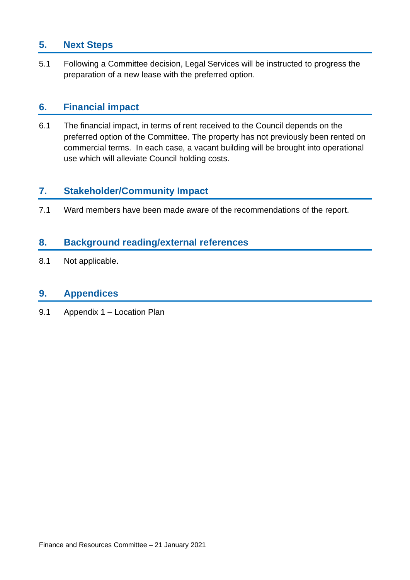# **5. Next Steps**

5.1 Following a Committee decision, Legal Services will be instructed to progress the preparation of a new lease with the preferred option.

## **6. Financial impact**

6.1 The financial impact, in terms of rent received to the Council depends on the preferred option of the Committee. The property has not previously been rented on commercial terms. In each case, a vacant building will be brought into operational use which will alleviate Council holding costs.

### **7. Stakeholder/Community Impact**

7.1 Ward members have been made aware of the recommendations of the report.

## **8. Background reading/external references**

8.1 Not applicable.

#### **9. Appendices**

9.1 Appendix 1 – Location Plan